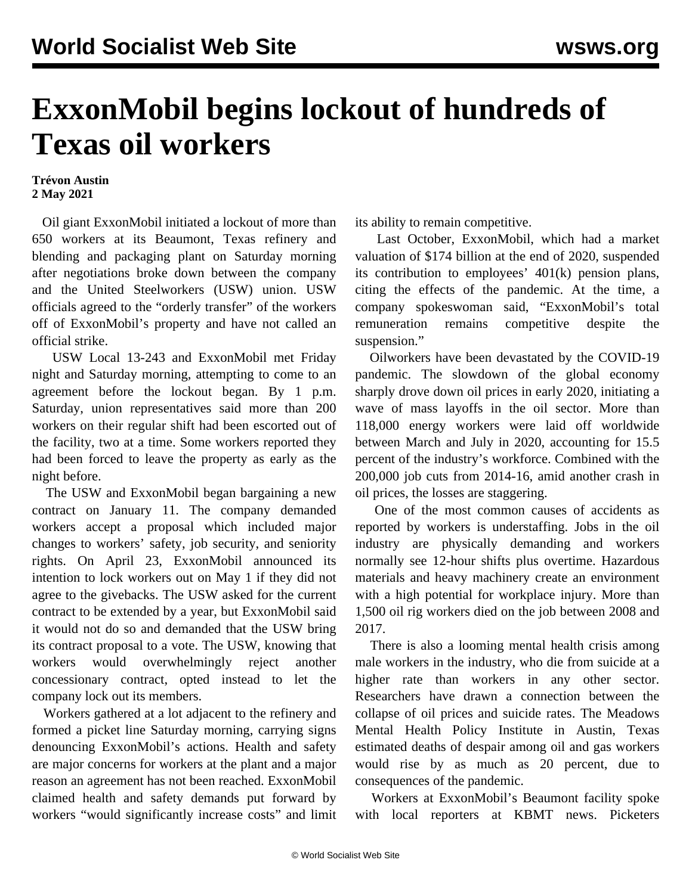## **ExxonMobil begins lockout of hundreds of Texas oil workers**

## **Trévon Austin 2 May 2021**

 Oil giant ExxonMobil initiated a lockout of more than 650 workers at its Beaumont, Texas refinery and blending and packaging plant on Saturday morning after negotiations broke down between the company and the United Steelworkers (USW) union. USW officials agreed to the "orderly transfer" of the workers off of ExxonMobil's property and have not called an official strike.

 USW Local 13-243 and ExxonMobil met Friday night and Saturday morning, attempting to come to an agreement before the lockout began. By 1 p.m. Saturday, union representatives said more than 200 workers on their regular shift had been escorted out of the facility, two at a time. Some workers reported they had been forced to leave the property as early as the night before.

 The USW and ExxonMobil began bargaining a new contract on January 11. The company demanded workers accept a proposal which included major changes to workers' safety, job security, and seniority rights. On April 23, ExxonMobil announced its intention to lock workers out on May 1 if they did not agree to the givebacks. The USW asked for the current contract to be extended by a year, but ExxonMobil said it would not do so and demanded that the USW bring its contract proposal to a vote. The USW, knowing that workers would overwhelmingly reject another concessionary contract, opted instead to let the company lock out its members.

 Workers gathered at a lot adjacent to the refinery and formed a picket line Saturday morning, carrying signs denouncing ExxonMobil's actions. Health and safety are major concerns for workers at the plant and a major reason an agreement has not been reached. ExxonMobil claimed health and safety demands put forward by workers "would significantly increase costs" and limit its ability to remain competitive.

 Last October, ExxonMobil, which had a market valuation of \$174 billion at the end of 2020, suspended its contribution to employees' 401(k) pension plans, citing the effects of the pandemic. At the time, a company spokeswoman said, "ExxonMobil's total remuneration remains competitive despite the suspension."

 Oilworkers have been devastated by the COVID-19 pandemic. The slowdown of the global economy sharply drove down oil prices in early 2020, initiating a wave of mass layoffs in the oil sector. More than 118,000 energy workers were laid off worldwide between March and July in 2020, accounting for 15.5 percent of the industry's workforce. Combined with the 200,000 job cuts from 2014-16, amid another crash in oil prices, the losses are staggering.

 One of the most common causes of accidents as reported by workers is understaffing. Jobs in the oil industry are physically demanding and workers normally see 12-hour shifts plus overtime. Hazardous materials and heavy machinery create an environment with a high potential for workplace injury. More than 1,500 oil rig workers died on the job between 2008 and 2017.

 There is also a looming mental health crisis among male workers in the industry, who die from suicide at a higher rate than workers in any other sector. Researchers have drawn a connection between the collapse of oil prices and suicide rates. The Meadows Mental Health Policy Institute in Austin, Texas estimated deaths of despair among oil and gas workers would rise by as much as 20 percent, due to consequences of the pandemic.

 Workers at ExxonMobil's Beaumont facility spoke with local reporters at KBMT news. Picketers